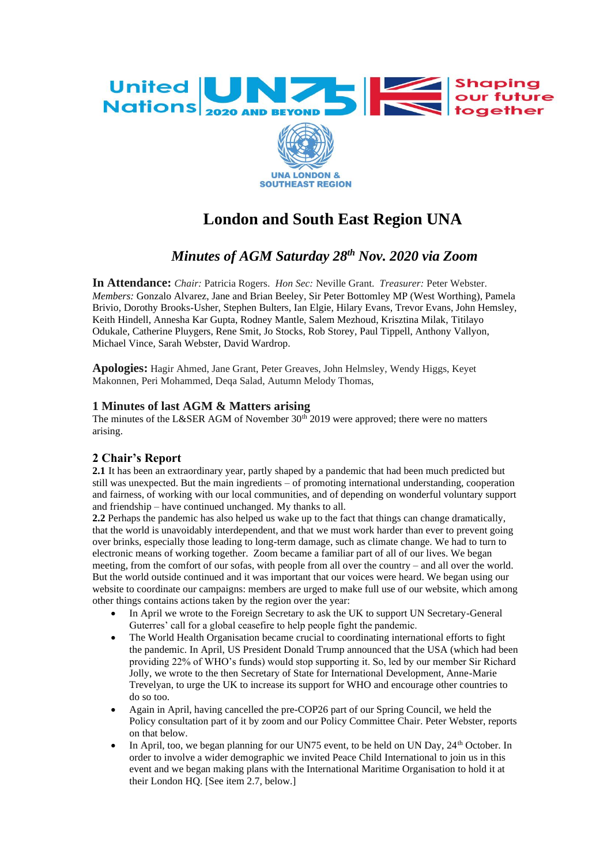



# **London and South East Region UNA**

## *Minutes of AGM Saturday 28th Nov. 2020 via Zoom*

**In Attendance:** *Chair:* Patricia Rogers. *Hon Sec:* Neville Grant. *Treasurer:* Peter Webster. *Members:* Gonzalo Alvarez, Jane and Brian Beeley, Sir Peter Bottomley MP (West Worthing), Pamela Brivio, Dorothy Brooks-Usher, Stephen Bulters, Ian Elgie, Hilary Evans, Trevor Evans, John Hemsley, Keith Hindell, Annesha Kar Gupta, Rodney Mantle, Salem Mezhoud, Krisztina Milak, Titilayo Odukale, Catherine Pluygers, Rene Smit, Jo Stocks, Rob Storey, Paul Tippell, Anthony Vallyon, Michael Vince, Sarah Webster, David Wardrop.

**Apologies:** Hagir Ahmed, Jane Grant, Peter Greaves, John Helmsley, Wendy Higgs, Keyet Makonnen, Peri Mohammed, Deqa Salad, Autumn Melody Thomas,

## **1 Minutes of last AGM & Matters arising**

The minutes of the L&SER AGM of November  $30<sup>th</sup>$  2019 were approved; there were no matters arising.

## **2 Chair's Report**

**2.1** It has been an extraordinary year, partly shaped by a pandemic that had been much predicted but still was unexpected. But the main ingredients – of promoting international understanding, cooperation and fairness, of working with our local communities, and of depending on wonderful voluntary support and friendship – have continued unchanged. My thanks to all.

**2.2** Perhaps the pandemic has also helped us wake up to the fact that things can change dramatically, that the world is unavoidably interdependent, and that we must work harder than ever to prevent going over brinks, especially those leading to long-term damage, such as climate change. We had to turn to electronic means of working together. Zoom became a familiar part of all of our lives. We began meeting, from the comfort of our sofas, with people from all over the country – and all over the world. But the world outside continued and it was important that our voices were heard. We began using our website to coordinate our campaigns: members are urged to make full use of our website, which among other things contains actions taken by the region over the year:

- In April we wrote to the Foreign Secretary to ask the UK to support UN Secretary-General Guterres' call for a global ceasefire to help people fight the pandemic.
- The World Health Organisation became crucial to coordinating international efforts to fight the pandemic. In April, US President Donald Trump announced that the USA (which had been providing 22% of WHO's funds) would stop supporting it. So, led by our member Sir Richard Jolly, we wrote to the then Secretary of State for International Development, Anne-Marie Trevelyan, to urge the UK to increase its support for WHO and encourage other countries to do so too.
- Again in April, having cancelled the pre-COP26 part of our Spring Council, we held the Policy consultation part of it by zoom and our Policy Committee Chair. Peter Webster, reports on that below.
- In April, too, we began planning for our UN75 event, to be held on UN Day,  $24<sup>th</sup>$  October. In order to involve a wider demographic we invited Peace Child International to join us in this event and we began making plans with the International Maritime Organisation to hold it at their London HQ. [See item 2.7, below.]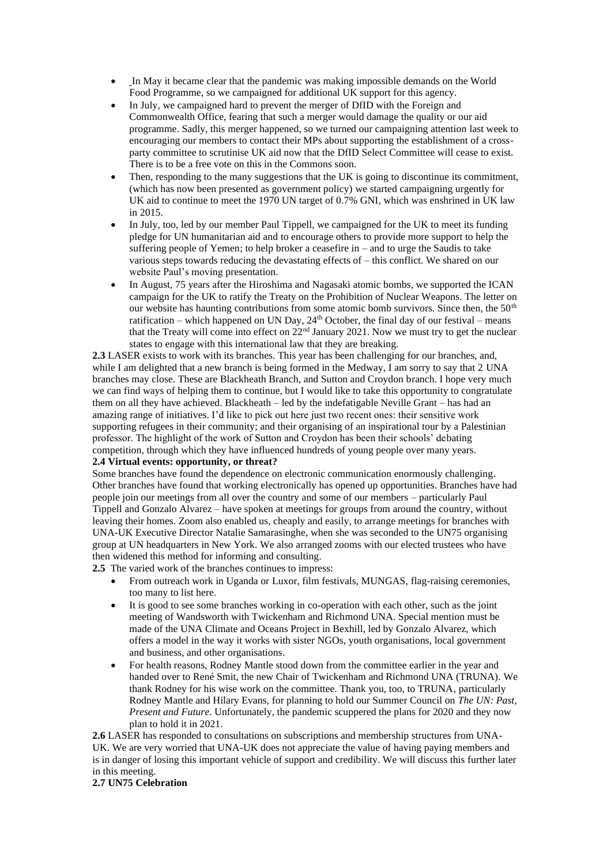- In May it became clear that the pandemic was making impossible demands on the World Food Programme, so we campaigned for additional UK support for this agency.
- In July, we campaigned hard to prevent the merger of DfID with the Foreign and Commonwealth Office, fearing that such a merger would damage the quality or our aid programme. Sadly, this merger happened, so we turned our campaigning attention last week to encouraging our members to contact their MPs about supporting the establishment of a crossparty committee to scrutinise UK aid now that the DfID Select Committee will cease to exist. There is to be a free vote on this in the Commons soon.
- Then, responding to the many suggestions that the UK is going to discontinue its commitment, (which has now been presented as government policy) we started campaigning urgently for UK aid to continue to meet the 1970 UN target of 0.7% GNI, which was enshrined in UK law in 2015.
- In July, too, led by our member Paul Tippell, we campaigned for the UK to meet its funding pledge for UN humanitarian aid and to encourage others to provide more support to help the suffering people of Yemen; to help broker a ceasefire in – and to urge the Saudis to take various steps towards reducing the devastating effects of – this conflict. We shared on our website Paul's moving presentation.
- In August, 75 years after the Hiroshima and Nagasaki atomic bombs, we supported the ICAN campaign for the UK to ratify the Treaty on the Prohibition of Nuclear Weapons. The letter on our website has haunting contributions from some atomic bomb survivors. Since then, the 50<sup>th</sup> ratification – which happened on UN Day,  $24<sup>th</sup>$  October, the final day of our festival – means that the Treaty will come into effect on  $22<sup>nd</sup>$  January 2021. Now we must try to get the nuclear states to engage with this international law that they are breaking.

**2.3** LASER exists to work with its branches. This year has been challenging for our branches, and, while I am delighted that a new branch is being formed in the Medway, I am sorry to say that 2 UNA branches may close. These are Blackheath Branch, and Sutton and Croydon branch. I hope very much we can find ways of helping them to continue, but I would like to take this opportunity to congratulate them on all they have achieved. Blackheath – led by the indefatigable Neville Grant – has had an amazing range of initiatives. I'd like to pick out here just two recent ones: their sensitive work supporting refugees in their community; and their organising of an inspirational tour by a Palestinian professor. The highlight of the work of Sutton and Croydon has been their schools' debating competition, through which they have influenced hundreds of young people over many years. **2.4 Virtual events: opportunity, or threat?**

Some branches have found the dependence on electronic communication enormously challenging. Other branches have found that working electronically has opened up opportunities. Branches have had people join our meetings from all over the country and some of our members – particularly Paul Tippell and Gonzalo Alvarez – have spoken at meetings for groups from around the country, without leaving their homes. Zoom also enabled us, cheaply and easily, to arrange meetings for branches with UNA-UK Executive Director Natalie Samarasinghe, when she was seconded to the UN75 organising group at UN headquarters in New York. We also arranged zooms with our elected trustees who have then widened this method for informing and consulting.

**2.5** The varied work of the branches continues to impress:

- From outreach work in Uganda or Luxor, film festivals, MUNGAS, flag-raising ceremonies, too many to list here.
- It is good to see some branches working in co-operation with each other, such as the joint meeting of Wandsworth with Twickenham and Richmond UNA. Special mention must be made of the UNA Climate and Oceans Project in Bexhill, led by Gonzalo Alvarez, which offers a model in the way it works with sister NGOs, youth organisations, local government and business, and other organisations.
- For health reasons, Rodney Mantle stood down from the committee earlier in the year and handed over to René Smit, the new Chair of Twickenham and Richmond UNA (TRUNA). We thank Rodney for his wise work on the committee. Thank you, too, to TRUNA, particularly Rodney Mantle and Hilary Evans, for planning to hold our Summer Council on *The UN: Past, Present and Future*. Unfortunately, the pandemic scuppered the plans for 2020 and they now plan to hold it in 2021.

**2.6** LASER has responded to consultations on subscriptions and membership structures from UNA-UK. We are very worried that UNA-UK does not appreciate the value of having paying members and is in danger of losing this important vehicle of support and credibility. We will discuss this further later in this meeting.

**2.7 UN75 Celebration**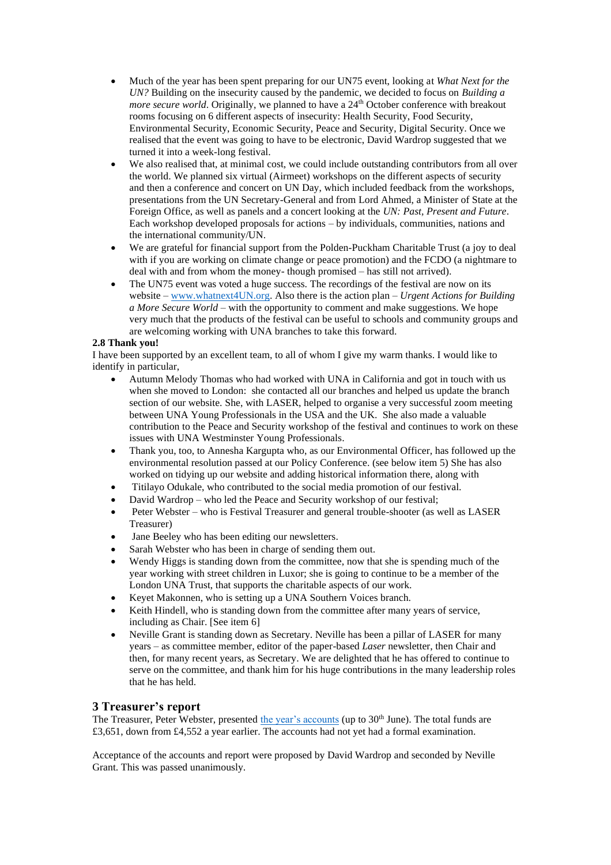- Much of the year has been spent preparing for our UN75 event, looking at *What Next for the UN?* Building on the insecurity caused by the pandemic, we decided to focus on *Building a more secure world*. Originally, we planned to have a 24<sup>th</sup> October conference with breakout rooms focusing on 6 different aspects of insecurity: Health Security, Food Security, Environmental Security, Economic Security, Peace and Security, Digital Security. Once we realised that the event was going to have to be electronic, David Wardrop suggested that we turned it into a week-long festival.
- We also realised that, at minimal cost, we could include outstanding contributors from all over the world. We planned six virtual (Airmeet) workshops on the different aspects of security and then a conference and concert on UN Day, which included feedback from the workshops, presentations from the UN Secretary-General and from Lord Ahmed, a Minister of State at the Foreign Office, as well as panels and a concert looking at the *UN: Past, Present and Future*. Each workshop developed proposals for actions – by individuals, communities, nations and the international community/UN.
- We are grateful for financial support from the Polden-Puckham Charitable Trust (a joy to deal with if you are working on climate change or peace promotion) and the FCDO (a nightmare to deal with and from whom the money- though promised – has still not arrived).
- The UN75 event was voted a huge success. The recordings of the festival are now on its website – [www.whatnext4UN.org.](http://www.whatnext4un.org/) Also there is the action plan – *Urgent Actions for Building a More Secure World* – with the opportunity to comment and make suggestions. We hope very much that the products of the festival can be useful to schools and community groups and are welcoming working with UNA branches to take this forward.

#### **2.8 Thank you!**

I have been supported by an excellent team, to all of whom I give my warm thanks. I would like to identify in particular,

- Autumn Melody Thomas who had worked with UNA in California and got in touch with us when she moved to London: she contacted all our branches and helped us update the branch section of our website. She, with LASER, helped to organise a very successful zoom meeting between UNA Young Professionals in the USA and the UK. She also made a valuable contribution to the Peace and Security workshop of the festival and continues to work on these issues with UNA Westminster Young Professionals.
- Thank you, too, to Annesha Kargupta who, as our Environmental Officer, has followed up the environmental resolution passed at our Policy Conference. (see below item 5) She has also worked on tidying up our website and adding historical information there, along with
- Titilayo Odukale, who contributed to the social media promotion of our festival.
- David Wardrop who led the Peace and Security workshop of our festival;
- Peter Webster who is Festival Treasurer and general trouble-shooter (as well as LASER Treasurer)
- Jane Beeley who has been editing our newsletters.
- Sarah Webster who has been in charge of sending them out.
- Wendy Higgs is standing down from the committee, now that she is spending much of the year working with street children in Luxor; she is going to continue to be a member of the London UNA Trust, that supports the charitable aspects of our work.
- Keyet Makonnen, who is setting up a UNA Southern Voices branch.
- Keith Hindell, who is standing down from the committee after many years of service, including as Chair. [See item 6]
- Neville Grant is standing down as Secretary. Neville has been a pillar of LASER for many years – as committee member, editor of the paper-based *Laser* newsletter, then Chair and then, for many recent years, as Secretary. We are delighted that he has offered to continue to serve on the committee, and thank him for his huge contributions in the many leadership roles that he has held.

#### **3 Treasurer's report**

The Treasurer, Peter Webster, presented [the year's accounts](https://unalaser.org/wp-content/uploads/2020/11/UNA-LASER-accounts-2019-2020.pdf) (up to 30<sup>th</sup> June). The total funds are £3,651, down from £4,552 a year earlier. The accounts had not yet had a formal examination.

Acceptance of the accounts and report were proposed by David Wardrop and seconded by Neville Grant. This was passed unanimously.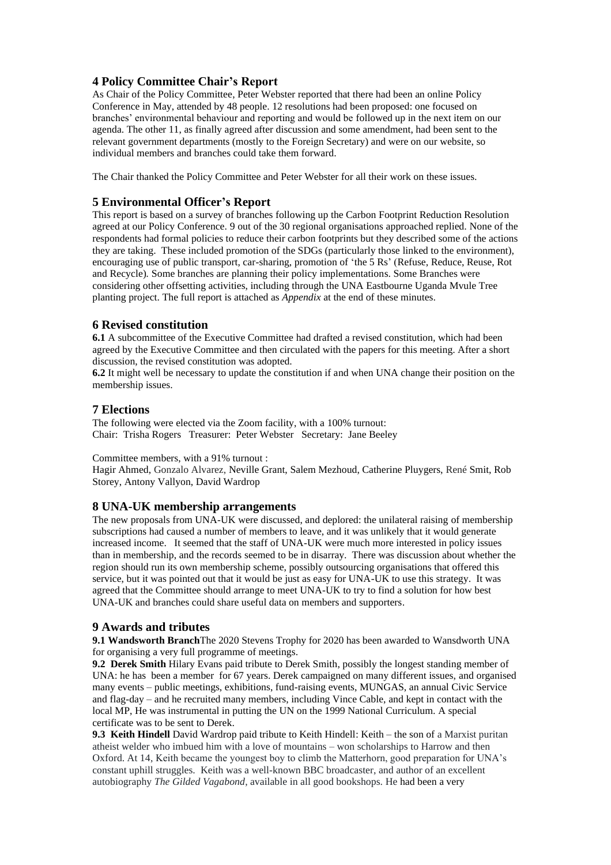## **4 Policy Committee Chair's Report**

As Chair of the Policy Committee, Peter Webster reported that there had been an online Policy Conference in May, attended by 48 people. 12 resolutions had been proposed: one focused on branches' environmental behaviour and reporting and would be followed up in the next item on our agenda. The other 11, as finally agreed after discussion and some amendment, had been sent to the relevant government departments (mostly to the Foreign Secretary) and were on our website, so individual members and branches could take them forward.

The Chair thanked the Policy Committee and Peter Webster for all their work on these issues.

### **5 Environmental Officer's Report**

This report is based on a survey of branches following up the Carbon Footprint Reduction Resolution agreed at our Policy Conference. 9 out of the 30 regional organisations approached replied. None of the respondents had formal policies to reduce their carbon footprints but they described some of the actions they are taking. These included promotion of the SDGs (particularly those linked to the environment), encouraging use of public transport, car-sharing, promotion of 'the 5 Rs' (Refuse, Reduce, Reuse, Rot and Recycle)*.* Some branches are planning their policy implementations. Some Branches were considering other offsetting activities, including through the UNA Eastbourne Uganda Mvule Tree planting project. The full report is attached as *Appendix* at the end of these minutes.

#### **6 Revised constitution**

**6.1** A subcommittee of the Executive Committee had drafted a revised constitution, which had been agreed by the Executive Committee and then circulated with the papers for this meeting. After a short discussion, the revised constitution was adopted.

**6.2** It might well be necessary to update the constitution if and when UNA change their position on the membership issues.

#### **7 Elections**

The following were elected via the Zoom facility, with a 100% turnout: Chair: Trisha Rogers Treasurer: Peter Webster Secretary: Jane Beeley

Committee members, with a 91% turnout :

Hagir Ahmed, Gonzalo Alvarez, Neville Grant, Salem Mezhoud, Catherine Pluygers, René Smit, Rob Storey, Antony Vallyon, David Wardrop

#### **8 UNA-UK membership arrangements**

The new proposals from UNA-UK were discussed, and deplored: the unilateral raising of membership subscriptions had caused a number of members to leave, and it was unlikely that it would generate increased income. It seemed that the staff of UNA-UK were much more interested in policy issues than in membership, and the records seemed to be in disarray. There was discussion about whether the region should run its own membership scheme, possibly outsourcing organisations that offered this service, but it was pointed out that it would be just as easy for UNA-UK to use this strategy. It was agreed that the Committee should arrange to meet UNA-UK to try to find a solution for how best UNA-UK and branches could share useful data on members and supporters.

#### **9 Awards and tributes**

**9.1 Wandsworth Branch**The 2020 Stevens Trophy for 2020 has been awarded to Wansdworth UNA for organising a very full programme of meetings.

**9.2 Derek Smith** Hilary Evans paid tribute to Derek Smith, possibly the longest standing member of UNA: he has been a member for 67 years. Derek campaigned on many different issues, and organised many events – public meetings, exhibitions, fund-raising events, MUNGAS, an annual Civic Service and flag-day – and he recruited many members, including Vince Cable, and kept in contact with the local MP, He was instrumental in putting the UN on the 1999 National Curriculum. A special certificate was to be sent to Derek.

**9.3 Keith Hindell** David Wardrop paid tribute to Keith Hindell: Keith – the son of a Marxist puritan atheist welder who imbued him with a love of mountains – won scholarships to Harrow and then Oxford. At 14, Keith became the youngest boy to climb the Matterhorn, good preparation for UNA's constant uphill struggles. Keith was a well-known BBC broadcaster, and author of an excellent autobiography *The Gilded Vagabond*, available in all good bookshops. He had been a very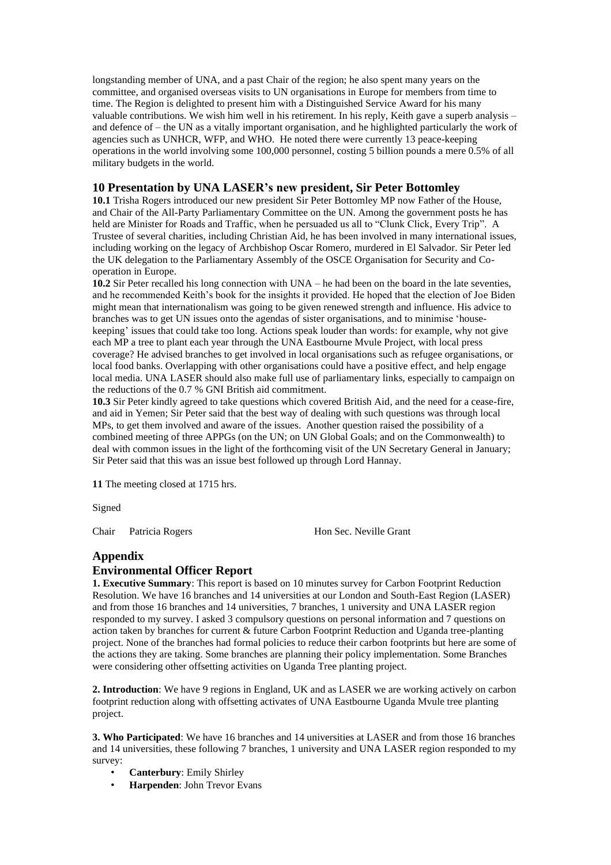longstanding member of UNA, and a past Chair of the region; he also spent many years on the committee, and organised overseas visits to UN organisations in Europe for members from time to time. The Region is delighted to present him with a Distinguished Service Award for his many valuable contributions. We wish him well in his retirement. In his reply, Keith gave a superb analysis – and defence of – the UN as a vitally important organisation, and he highlighted particularly the work of agencies such as UNHCR, WFP, and WHO. He noted there were currently 13 peace-keeping operations in the world involving some 100,000 personnel, costing 5 billion pounds a mere 0.5% of all military budgets in the world.

#### **10 Presentation by UNA LASER's new president, Sir Peter Bottomley**

**10.1** Trisha Rogers introduced our new president Sir Peter Bottomley MP now Father of the House, and Chair of the All-Party Parliamentary Committee on the UN. Among the government posts he has held are Minister for Roads and Traffic, when he persuaded us all to "Clunk Click, Every Trip". A Trustee of several charities, including Christian Aid, he has been involved in many international issues, including working on the legacy of Archbishop Oscar Romero, murdered in El Salvador. Sir Peter led the UK delegation to the Parliamentary Assembly of the OSCE Organisation for Security and Cooperation in Europe.

**10.2** Sir Peter recalled his long connection with UNA – he had been on the board in the late seventies, and he recommended Keith's book for the insights it provided. He hoped that the election of Joe Biden might mean that internationalism was going to be given renewed strength and influence. His advice to branches was to get UN issues onto the agendas of sister organisations, and to minimise 'housekeeping' issues that could take too long. Actions speak louder than words: for example, why not give each MP a tree to plant each year through the UNA Eastbourne Mvule Project, with local press coverage? He advised branches to get involved in local organisations such as refugee organisations, or local food banks. Overlapping with other organisations could have a positive effect, and help engage local media. UNA LASER should also make full use of parliamentary links, especially to campaign on the reductions of the 0.7 % GNI British aid commitment.

**10.3** Sir Peter kindly agreed to take questions which covered British Aid, and the need for a cease-fire, and aid in Yemen; Sir Peter said that the best way of dealing with such questions was through local MPs, to get them involved and aware of the issues. Another question raised the possibility of a combined meeting of three APPGs (on the UN; on UN Global Goals; and on the Commonwealth) to deal with common issues in the light of the forthcoming visit of the UN Secretary General in January; Sir Peter said that this was an issue best followed up through Lord Hannay.

**11** The meeting closed at 1715 hrs.

Signed

Chair Patricia Rogers Hon Sec. Neville Grant

#### **Appendix**

#### **Environmental Officer Report**

**1. Executive Summary**: This report is based on 10 minutes survey for Carbon Footprint Reduction Resolution. We have 16 branches and 14 universities at our London and South-East Region (LASER) and from those 16 branches and 14 universities, 7 branches, 1 university and UNA LASER region responded to my survey. I asked 3 compulsory questions on personal information and 7 questions on action taken by branches for current & future Carbon Footprint Reduction and Uganda tree-planting project. None of the branches had formal policies to reduce their carbon footprints but here are some of the actions they are taking. Some branches are planning their policy implementation. Some Branches were considering other offsetting activities on Uganda Tree planting project.

**2. Introduction**: We have 9 regions in England, UK and as LASER we are working actively on carbon footprint reduction along with offsetting activates of UNA Eastbourne Uganda Mvule tree planting project.

**3. Who Participated**: We have 16 branches and 14 universities at LASER and from those 16 branches and 14 universities, these following 7 branches, 1 university and UNA LASER region responded to my survey:

- **Canterbury**: Emily Shirley
- **Harpenden**: John Trevor Evans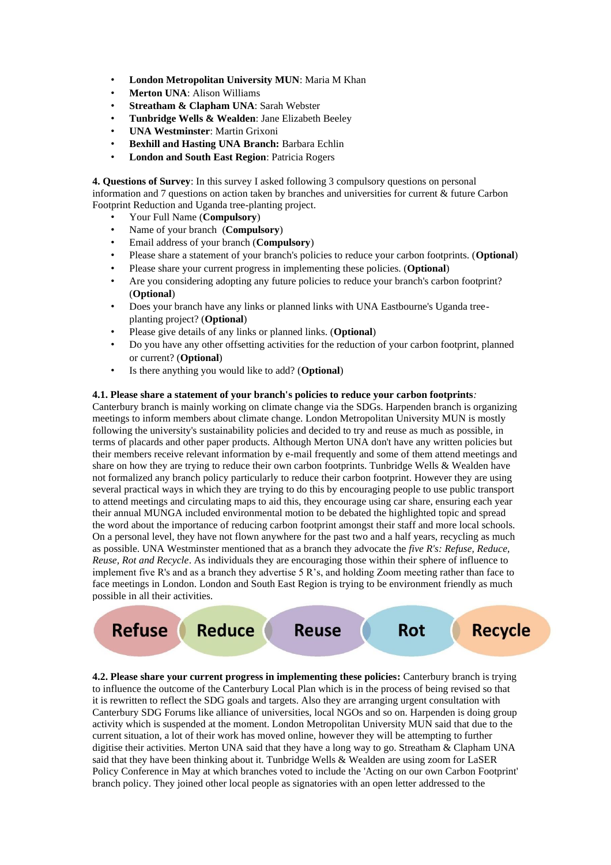- **London Metropolitan University MUN**: Maria M Khan
- **Merton UNA**: Alison Williams
- **Streatham & Clapham UNA: Sarah Webster**
- **Tunbridge Wells & Wealden**: Jane Elizabeth Beeley
- **UNA Westminster**: Martin Grixoni
- **Bexhill and Hasting UNA Branch:** Barbara Echlin
- **London and South East Region**: Patricia Rogers

**4. Questions of Survey**: In this survey I asked following 3 compulsory questions on personal information and 7 questions on action taken by branches and universities for current & future Carbon Footprint Reduction and Uganda tree-planting project.

- Your Full Name (**Compulsory**)
- Name of your branch (**Compulsory**)
- Email address of your branch (**Compulsory**)
- Please share a statement of your branch's policies to reduce your carbon footprints. (**Optional**)
- Please share your current progress in implementing these policies. (**Optional**)
- Are you considering adopting any future policies to reduce your branch's carbon footprint? (**Optional**)
- Does your branch have any links or planned links with UNA Eastbourne's Uganda treeplanting project? (**Optional**)
- Please give details of any links or planned links. (**Optional**)
- Do you have any other offsetting activities for the reduction of your carbon footprint, planned or current? (**Optional**)
- Is there anything you would like to add? (**Optional**)

#### **4.1. Please share a statement of your branch's policies to reduce your carbon footprints***:*

Canterbury branch is mainly working on climate change via the SDGs. Harpenden branch is organizing meetings to inform members about climate change. London Metropolitan University MUN is mostly following the university's sustainability policies and decided to try and reuse as much as possible, in terms of placards and other paper products. Although Merton UNA don't have any written policies but their members receive relevant information by e-mail frequently and some of them attend meetings and share on how they are trying to reduce their own carbon footprints. Tunbridge Wells & Wealden have not formalized any branch policy particularly to reduce their carbon footprint. However they are using several practical ways in which they are trying to do this by encouraging people to use public transport to attend meetings and circulating maps to aid this, they encourage using car share, ensuring each year their annual MUNGA included environmental motion to be debated the highlighted topic and spread the word about the importance of reducing carbon footprint amongst their staff and more local schools. On a personal level, they have not flown anywhere for the past two and a half years, recycling as much as possible. UNA Westminster mentioned that as a branch they advocate the *five R's: Refuse, Reduce, Reuse, Rot and Recycle*. As individuals they are encouraging those within their sphere of influence to implement five R's and as a branch they advertise 5 R's, and holding Zoom meeting rather than face to face meetings in London. London and South East Region is trying to be environment friendly as much possible in all their activities.



**4.2. Please share your current progress in implementing these policies:** Canterbury branch is trying to influence the outcome of the Canterbury Local Plan which is in the process of being revised so that it is rewritten to reflect the SDG goals and targets. Also they are arranging urgent consultation with Canterbury SDG Forums like alliance of universities, local NGOs and so on. Harpenden is doing group activity which is suspended at the moment. London Metropolitan University MUN said that due to the current situation, a lot of their work has moved online, however they will be attempting to further digitise their activities. Merton UNA said that they have a long way to go. Streatham & Clapham UNA said that they have been thinking about it. Tunbridge Wells & Wealden are using zoom for LaSER Policy Conference in May at which branches voted to include the 'Acting on our own Carbon Footprint' branch policy. They joined other local people as signatories with an open letter addressed to the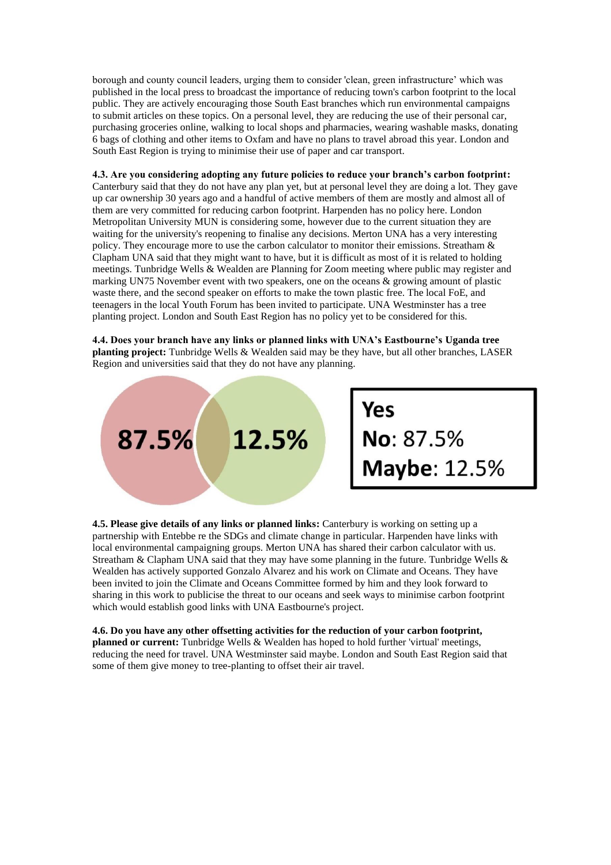borough and county council leaders, urging them to consider 'clean, green infrastructure' which was published in the local press to broadcast the importance of reducing town's carbon footprint to the local public. They are actively encouraging those South East branches which run environmental campaigns to submit articles on these topics. On a personal level, they are reducing the use of their personal car, purchasing groceries online, walking to local shops and pharmacies, wearing washable masks, donating 6 bags of clothing and other items to Oxfam and have no plans to travel abroad this year. London and South East Region is trying to minimise their use of paper and car transport.

#### **4.3. Are you considering adopting any future policies to reduce your branch's carbon footprint:**

Canterbury said that they do not have any plan yet, but at personal level they are doing a lot. They gave up car ownership 30 years ago and a handful of active members of them are mostly and almost all of them are very committed for reducing carbon footprint. Harpenden has no policy here. London Metropolitan University MUN is considering some, however due to the current situation they are waiting for the university's reopening to finalise any decisions. Merton UNA has a very interesting policy. They encourage more to use the carbon calculator to monitor their emissions. Streatham & Clapham UNA said that they might want to have, but it is difficult as most of it is related to holding meetings. Tunbridge Wells & Wealden are Planning for Zoom meeting where public may register and marking UN75 November event with two speakers, one on the oceans & growing amount of plastic waste there, and the second speaker on efforts to make the town plastic free. The local FoE, and teenagers in the local Youth Forum has been invited to participate. UNA Westminster has a tree planting project. London and South East Region has no policy yet to be considered for this.

**4.4. Does your branch have any links or planned links with UNA's Eastbourne's Uganda tree planting project:** Tunbridge Wells & Wealden said may be they have, but all other branches, LASER Region and universities said that they do not have any planning.



res<br>No: 87.5%<br>Maybe: 12.5%

**4.5. Please give details of any links or planned links:** Canterbury is working on setting up a partnership with Entebbe re the SDGs and climate change in particular. Harpenden have links with local environmental campaigning groups. Merton UNA has shared their carbon calculator with us. Streatham & Clapham UNA said that they may have some planning in the future. Tunbridge Wells  $\&$ Wealden has actively supported Gonzalo Alvarez and his work on Climate and Oceans. They have been invited to join the Climate and Oceans Committee formed by him and they look forward to sharing in this work to publicise the threat to our oceans and seek ways to minimise carbon footprint which would establish good links with UNA Eastbourne's project.

**4.6. Do you have any other offsetting activities for the reduction of your carbon footprint, planned or current:** Tunbridge Wells & Wealden has hoped to hold further 'virtual' meetings, reducing the need for travel. UNA Westminster said maybe. London and South East Region said that some of them give money to tree-planting to offset their air travel.